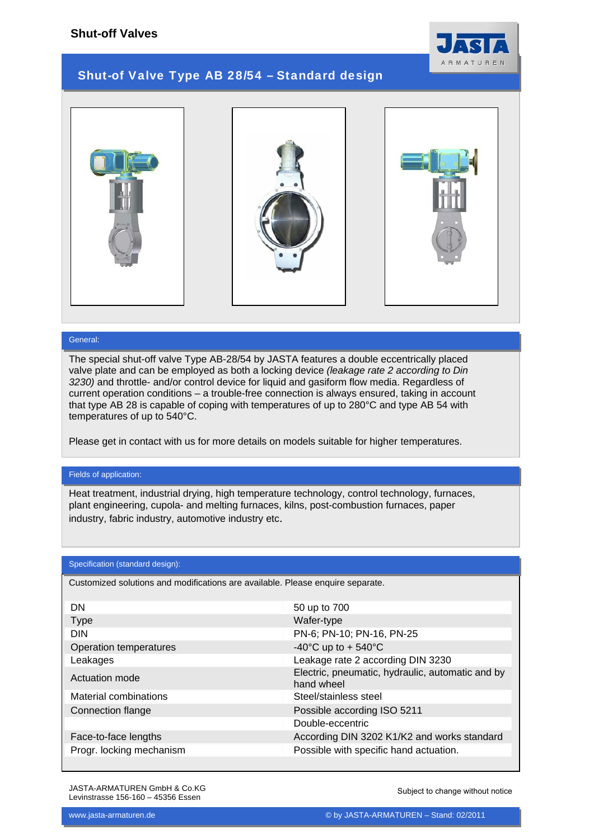

## Shut-of Valve Type AB 28/54 – Standard design



### General:

The special shut-off valve Type AB-28/54 by JASTA features a double eccentrically placed valve plate and can be employed as both a locking device *(leakage rate 2 according to Din 3230)* and throttle- and/or control device for liquid and gasiform flow media. Regardless of current operation conditions – a trouble-free connection is always ensured, taking in account that type AB 28 is capable of coping with temperatures of up to 280°C and type AB 54 with temperatures of up to 540°C.

Please get in contact with us for more details on models suitable for higher temperatures.

#### Fields of application:

Heat treatment, industrial drying, high temperature technology, control technology, furnaces, plant engineering, cupola- and melting furnaces, kilns, post-combustion furnaces, paper industry, fabric industry, automotive industry etc.

#### Specification (standard design):

Customized solutions and modifications are available. Please enquire separate.

| DN                       | 50 up to 700                                                   |
|--------------------------|----------------------------------------------------------------|
| <b>Type</b>              | Wafer-type                                                     |
| <b>DIN</b>               | PN-6; PN-10; PN-16, PN-25                                      |
| Operation temperatures   | -40 $^{\circ}$ C up to + 540 $^{\circ}$ C                      |
| Leakages                 | Leakage rate 2 according DIN 3230                              |
| Actuation mode           | Electric, pneumatic, hydraulic, automatic and by<br>hand wheel |
| Material combinations    | Steel/stainless steel                                          |
| Connection flange        | Possible according ISO 5211                                    |
|                          | Double-eccentric                                               |
| Face-to-face lengths     | According DIN 3202 K1/K2 and works standard                    |
| Progr. locking mechanism | Possible with specific hand actuation.                         |
|                          |                                                                |

JASTA-ARMATUREN GmbH & Co.KG Levinstrasse 156-160 – 45356 Essen

Subject to change without notice